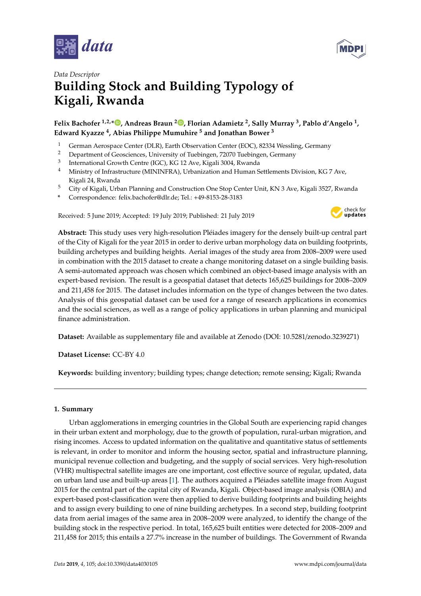



# *Data Descriptor* **Building Stock and Building Typology of Kigali, Rwanda**

## **Felix Bachofer 1,2,\* [,](https://orcid.org/0000-0001-6181-0187) Andreas Braun <sup>2</sup> [,](https://orcid.org/0000-0001-8630-1389) Florian Adamietz <sup>2</sup> , Sally Murray <sup>3</sup> , Pablo d'Angelo <sup>1</sup> , Edward Kyazze <sup>4</sup> , Abias Philippe Mumuhire <sup>5</sup> and Jonathan Bower <sup>3</sup>**

- <sup>1</sup> German Aerospace Center (DLR), Earth Observation Center (EOC), 82334 Wessling, Germany<br><sup>2</sup> Department of Censium and University of Techinese 72070 Techinese Campany
- <sup>2</sup> Department of Geosciences, University of Tuebingen, 72070 Tuebingen, Germany
- 3 International Growth Centre (IGC), KG 12 Ave, Kigali 3004, Rwanda
- <sup>4</sup> Ministry of Infrastructure (MININFRA), Urbanization and Human Settlements Division, KG 7 Ave, Kigali 24, Rwanda
- <sup>5</sup> City of Kigali, Urban Planning and Construction One Stop Center Unit, KN 3 Ave, Kigali 3527, Rwanda
- **\*** Correspondence: felix.bachofer@dlr.de; Tel.: +49-8153-28-3183

Received: 5 June 2019; Accepted: 19 July 2019; Published: 21 July 2019



**Abstract:** This study uses very high-resolution Pléiades imagery for the densely built-up central part of the City of Kigali for the year 2015 in order to derive urban morphology data on building footprints, building archetypes and building heights. Aerial images of the study area from 2008–2009 were used in combination with the 2015 dataset to create a change monitoring dataset on a single building basis. A semi-automated approach was chosen which combined an object-based image analysis with an expert-based revision. The result is a geospatial dataset that detects 165,625 buildings for 2008–2009 and 211,458 for 2015. The dataset includes information on the type of changes between the two dates. Analysis of this geospatial dataset can be used for a range of research applications in economics and the social sciences, as well as a range of policy applications in urban planning and municipal finance administration.

**Dataset:** Available as supplementary file and available at Zenodo (DOI: 10.5281/zenodo.3239271)

**Dataset License:** CC-BY 4.0

**Keywords:** building inventory; building types; change detection; remote sensing; Kigali; Rwanda

#### **1. Summary**

Urban agglomerations in emerging countries in the Global South are experiencing rapid changes in their urban extent and morphology, due to the growth of population, rural-urban migration, and rising incomes. Access to updated information on the qualitative and quantitative status of settlements is relevant, in order to monitor and inform the housing sector, spatial and infrastructure planning, municipal revenue collection and budgeting, and the supply of social services. Very high-resolution (VHR) multispectral satellite images are one important, cost effective source of regular, updated, data on urban land use and built-up areas [\[1\]](#page-8-0). The authors acquired a Pléiades satellite image from August 2015 for the central part of the capital city of Rwanda, Kigali. Object-based image analysis (OBIA) and expert-based post-classification were then applied to derive building footprints and building heights and to assign every building to one of nine building archetypes. In a second step, building footprint data from aerial images of the same area in 2008–2009 were analyzed, to identify the change of the building stock in the respective period. In total, 165,625 built entities were detected for 2008–2009 and 211,458 for 2015; this entails a 27.7% increase in the number of buildings. The Government of Rwanda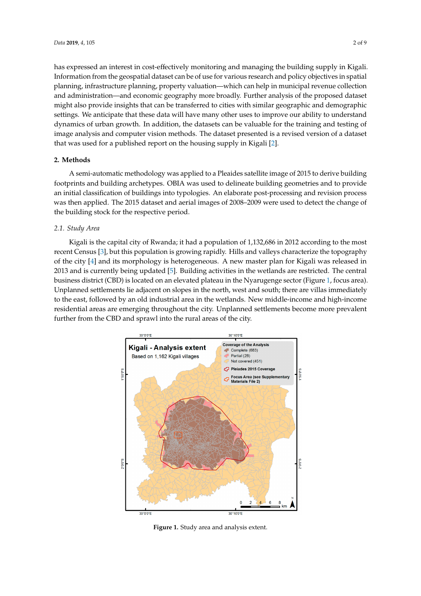has expressed an interest in cost-effectively monitoring and managing the building supply in Kigali. Information from the geospatial dataset can be of use for various research and policy objectives in spatial planning, infrastructure planning, property valuation—which can help in municipal revenue collection and administration—and economic geography more broadly. Further analysis of the proposed dataset might also provide insights that can be transferred to cities with similar geographic and demographic settings. We anticipate that these data will have many other uses to improve our ability to understand dynamics of urban growth. In addition, the datasets can be valuable for the training and testing of image analysis and computer vision methods. The dataset presented is a revised version of a dataset that was used for a published report on the housing supply in Kigali [\[2\]](#page-8-1).  $\frac{1}{1}$  and  $\frac{1}{1}$  can be valued for the training and testing of images can be valued of images of images can be valued of images of images can be valued of images of images of images of images of images of images of

#### **2. Methods** analysis and computer vision methods. The dataset presented is a revised version of a dataset that  $\alpha$  dataset that  $\alpha$

A semi-automatic methodology was applied to a Pleaides satellite image of 2015 to derive building footprints and building archetypes. OBIA was used to delineate building geometries and to provide **2. Methods**  an initial classification of buildings into typologies. An elaborate post-processing and revision process was then applied. The 2015 dataset and aerial images of 2008–2009 were used to detect the change of the building stock for the respective period.

#### 2.1. Study Area

Kigali is the capital city of Rwanda; it had a population of 1,132,686 in 2012 according to the most recent Census [\[3\]](#page-8-2), but this population is growing rapidly. Hills and valleys characterize the topography of the city [\[4\]](#page-8-3) and its morphology is heterogeneous. A new master plan for Kigali was released in 2013 and is currently being updated [\[5\]](#page-8-4). Building activities in the wetlands are restricted. The central business district (CBD) is located on an elevated plateau in the Nyarugenge sector (Figure [1,](#page-1-0) focus area). Unplanned settlements lie adjacent on slopes in the north, west and south; there are villas immediately to the east, followed by an old industrial area in the wetlands. New middle-income and high-income residential areas are emerging throughout the city. Unplanned settlements become more prevalent further from the CBD and sprawl into the rural areas of the city. that is carreitly plant of the city containing activities in the weightig the restation. The car

<span id="page-1-0"></span>

**Figure 1.** Study area and analysis extent. **Figure 1.** Study area and analysis extent.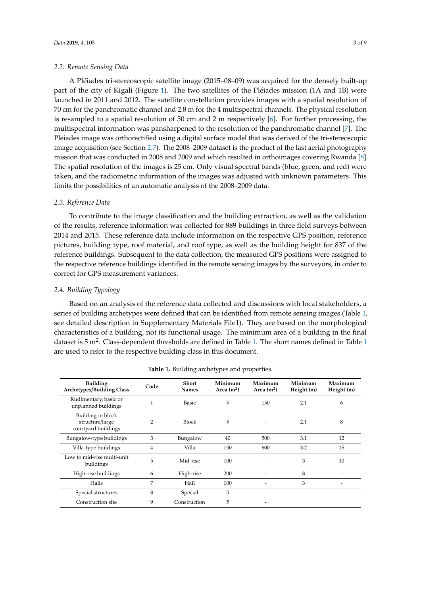A Pléiades tri-stereoscopic satellite image (2015–08–09) was acquired for the densely built-up part of the city of Kigali (Figure [1\)](#page-1-0). The two satellites of the Pléiades mission (1A and 1B) were launched in 2011 and 2012. The satellite constellation provides images with a spatial resolution of 70 cm for the panchromatic channel and 2.8 m for the 4 multispectral channels. The physical resolution is resampled to a spatial resolution of 50 cm and 2 m respectively [\[6\]](#page-8-5). For further processing, the multispectral information was pansharpened to the resolution of the panchromatic channel [\[7\]](#page-8-6). The Pleiades image was orthorectified using a digital surface model that was derived of the tri-stereoscopic image acquisition (see Section [2.7\)](#page-4-0). The 2008–2009 dataset is the product of the last aerial photography mission that was conducted in 2008 and 2009 and which resulted in orthoimages covering Rwanda [\[8\]](#page-8-7). The spatial resolution of the images is 25 cm. Only visual spectral bands (blue, green, and red) were taken, and the radiometric information of the images was adjusted with unknown parameters. This limits the possibilities of an automatic analysis of the 2008–2009 data.

#### *2.3. Reference Data*

To contribute to the image classification and the building extraction, as well as the validation of the results, reference information was collected for 889 buildings in three field surveys between 2014 and 2015. These reference data include information on the respective GPS position, reference pictures, building type, roof material, and roof type, as well as the building height for 837 of the reference buildings. Subsequent to the data collection, the measured GPS positions were assigned to the respective reference buildings identified in the remote sensing images by the surveyors, in order to correct for GPS measurement variances.

#### *2.4. Building Typology*

Based on an analysis of the reference data collected and discussions with local stakeholders, a series of building archetypes were defined that can be identified from remote sensing images (Table [1,](#page-2-0) see detailed description in Supplementary Materials File1). They are based on the morphological characteristics of a building, not its functional usage. The minimum area of a building in the final dataset is  $5 \text{ m}^2$ . Class-dependent thresholds are defined in Table [1.](#page-2-0) The short names defined in Table [1](#page-2-0) are used to refer to the respective building class in this document.

<span id="page-2-0"></span>

| <b>Building</b><br><b>Archetypes/Building Class</b>         | Code | <b>Short</b><br><b>Names</b> | Minimum<br>Area $(m^2)$ | Maximum<br>Area $(m^2)$ | Minimum<br>Height (m) | Maximum<br>Height (m) |
|-------------------------------------------------------------|------|------------------------------|-------------------------|-------------------------|-----------------------|-----------------------|
| Rudimentary, basic or<br>unplanned buildings                |      | <b>Basic</b>                 | 5                       | 150                     | 2.1                   | 6                     |
| Building in block<br>structure/large<br>courtyard buildings | 2    | <b>Block</b>                 | 5                       |                         | 2.1                   | 8                     |
| Bungalow-type buildings                                     | 3    | Bungalow                     | 40                      | 500                     | 3.1                   | 12                    |
| Villa-type buildings                                        | 4    | Villa                        | 150                     | 600                     | 3.2                   | 15                    |
| Low to mid-rise multi-unit<br>buildings                     | 5    | Mid-rise                     | 100                     |                         | 3                     | 10                    |
| High-rise buildings                                         | 6    | High-rise                    | 200                     | ٠                       | 8                     |                       |
| Halls                                                       | 7    | Hall                         | 100                     |                         | 3                     |                       |
| Special structures                                          | 8    | Special                      | 5                       | -                       |                       |                       |
| Construction site                                           | 9    | Construction                 | 5                       | ۰                       |                       |                       |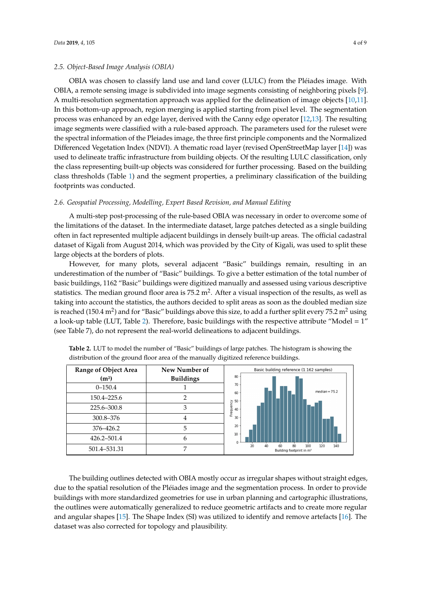#### *2.5. Object-Based Image Analysis (OBIA)*

OBIA was chosen to classify land use and land cover (LULC) from the Pléiades image. With OBIA, a remote sensing image is subdivided into image segments consisting of neighboring pixels [\[9\]](#page-8-8). A multi-resolution segmentation approach was applied for the delineation of image objects [\[10,](#page-8-9)[11\]](#page-8-10). In this bottom-up approach, region merging is applied starting from pixel level. The segmentation process was enhanced by an edge layer, derived with the Canny edge operator [\[12,](#page-8-11)[13\]](#page-8-12). The resulting proced with characterizing an engo my crystal with a rule change of permeappers in the central group of the rules of the ruleset were in mage segments were classified with a rule-based approach. The parameters used for the the spectral information of the Pleiades image, the three first principle components and the Normalized  $\,$ Differenced Vegetation Index (NDVI). A thematic road layer (revised OpenStreetMap layer [\[14\]](#page-8-13)) was used to delineate traffic infrastructure from building objects. Of the resulting LULC classification, only the class representing built-up objects was considered for further processing. Based on the building class thresholds (Table 1) and the segment properties, a preliminary class[ifi](#page-2-0)cation of the building footprints was conducted. Based on the building conducted on the segment properties, and the segment properties, and the segment properties, and the segment properties, and the segment properties, and the segment propertie  $s$  segments were enassined with a rule based approach. The parameters ased for the rules of

#### <span id="page-3-1"></span>*2.6. Geospatial Processing, Modelling, Expert Based Revision, and Manual Editing 2.6. Geospatial Processing, Modelling, Expert Based Revision, and Manual Editing*

A multi-step post-processing of the rule-based OBIA was necessary in order to overcome some of the limitations of the dataset. In the intermediate dataset, large patches detected as a single building often in fact represented multiple adjacent buildings in densely built-up areas. The official cadastral dataset of Kigali from August 2014, which was provided by the City of Kigali, was used to split these large objects at the borders of plots. of the dataset. In the intermediate dataset, large patches detected as a single patches

However, for many plots, several adjacent "Basic" buildings remain, resulting in an However, for many plots, several adjacent "Basic" buildings remain, resulting in an underestimation of the number of "Basic" buildings. To give a better estimation of the total number of basic buildings, 1162 "Basic" buildings were digitized manually and assessed using various descriptive statistics. The median ground floor area is  $75.2$  m<sup>2</sup>. After a visual inspection of the results, as well as taking into account the statistics, the authors decided to split areas as soon as the doubled median size is reached  $(150.4 \text{ m}^2)$  and for "Basic" buildings above this size, to add a further split every  $75.2 \text{ m}^2$  using a look-up table (LUT, Table [2\)](#page-3-0). Therefore, basic buildings with the respective attribute "Model =  $1$ " (see Table 7), do not represent the real-world delineations to adjacent buildings. buildings.  $\frac{1}{2}$  and  $\frac{1}{2}$ . The state of table  $\frac{1}{2}$  and  $\frac{1}{2}$ . The respective buildings above this size, to do a further spin every 75.2 m

| <b>Range of Object Area</b> | New Number of    | Basic building reference (1.162 samples)                                          |
|-----------------------------|------------------|-----------------------------------------------------------------------------------|
| (m <sup>2</sup> )           | <b>Buildings</b> | 80                                                                                |
| $0 - 150.4$                 |                  | 70<br>$median = 75.2$<br>60                                                       |
| 150.4-225.6                 |                  |                                                                                   |
| 225.6-300.8                 |                  | guency<br>g<br>40                                                                 |
| 300.8-376                   | 4                | ۴ě<br>30                                                                          |
| 376-426.2                   | 5                | 20                                                                                |
| 426.2-501.4                 | 6                | $10$<br>$\Omega$                                                                  |
| 501.4-531.31                | ⇁                | 20<br>40<br>120<br>140<br>60<br>80<br>100<br>Building footprint in m <sup>2</sup> |

<span id="page-3-0"></span>**Table 2.** LUT to model the number of "Basic" buildings of large patches. The histogram is showing the **Table 2.** LUT to model the number of "Basic" buildings of large patches. The histogram is showing distribution of the ground floor area of the manually digitized reference buildings. the distribution of the ground floor area of the manually digitized reference buildings.

edges, due to the spatial resolution of the Pléiades image and the segmentation process. In order to The building outlines detected with OBIA mostly occur as irregular shapes without straight edges, due to the spatial resolution of the Pléiades image and the segmentation process. In order to provide buildings with more standardized geometries for use in urban planning and cartographic illustrations, the outlines were automatically generalized to reduce geometric artifacts and to create more regular and angular shapes [15]. The Shape Index (SI) was utilized to identify and remove artefacts [16]. The dataset was also corrected for topology and plausibility.

 $\mathbf{r}$  and shadow effects of complex roof structures of complex roof structures of complex roof structures of complex roof structures of complex roof structures of complex roof structures of complex roof structures of c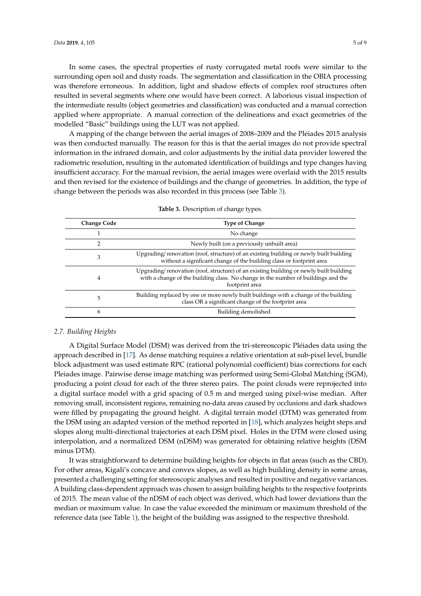In some cases, the spectral properties of rusty corrugated metal roofs were similar to the surrounding open soil and dusty roads. The segmentation and classification in the OBIA processing was therefore erroneous. In addition, light and shadow effects of complex roof structures often resulted in several segments where one would have been correct. A laborious visual inspection of the intermediate results (object geometries and classification) was conducted and a manual correction applied where appropriate. A manual correction of the delineations and exact geometries of the modelled "Basic" buildings using the LUT was not applied.

A mapping of the change between the aerial images of 2008–2009 and the Pléiades 2015 analysis was then conducted manually. The reason for this is that the aerial images do not provide spectral information in the infrared domain, and color adjustments by the initial data provider lowered the radiometric resolution, resulting in the automated identification of buildings and type changes having insufficient accuracy. For the manual revision, the aerial images were overlaid with the 2015 results and then revised for the existence of buildings and the change of geometries. In addition, the type of change between the periods was also recorded in this process (see Table [3\)](#page-4-1).

<span id="page-4-1"></span>

| <b>Change Code</b> | <b>Type of Change</b>                                                                                                                                                                         |
|--------------------|-----------------------------------------------------------------------------------------------------------------------------------------------------------------------------------------------|
|                    | No change                                                                                                                                                                                     |
| 2                  | Newly built (on a previously unbuilt area)                                                                                                                                                    |
| 3                  | Upgrading/renovation (roof, structure) of an existing building or newly built building<br>without a significant change of the building class or footprint area                                |
| 4                  | Upgrading/renovation (roof, structure) of an existing building or newly built building<br>with a change of the building class. No change in the number of buildings and the<br>footprint area |
| 5                  | Building replaced by one or more newly built buildings with a change of the building<br>class OR a significant change of the footprint area                                                   |
| 6                  | Building demolished                                                                                                                                                                           |

**Table 3.** Description of change types.

#### <span id="page-4-0"></span>*2.7. Building Heights*

A Digital Surface Model (DSM) was derived from the tri-stereoscopic Pléiades data using the approach described in [\[17\]](#page-8-16). As dense matching requires a relative orientation at sub-pixel level, bundle block adjustment was used estimate RPC (rational polynomial coefficient) bias corrections for each Pleiades image. Pairwise dense image matching was performed using Semi-Global Matching (SGM), producing a point cloud for each of the three stereo pairs. The point clouds were reprojected into a digital surface model with a grid spacing of 0.5 m and merged using pixel-wise median. After removing small, inconsistent regions, remaining no-data areas caused by occlusions and dark shadows were filled by propagating the ground height. A digital terrain model (DTM) was generated from the DSM using an adapted version of the method reported in [\[18\]](#page-8-17), which analyzes height steps and slopes along multi-directional trajectories at each DSM pixel. Holes in the DTM were closed using interpolation, and a normalized DSM (nDSM) was generated for obtaining relative heights (DSM minus DTM).

It was straightforward to determine building heights for objects in flat areas (such as the CBD). For other areas, Kigali's concave and convex slopes, as well as high building density in some areas, presented a challenging setting for stereoscopic analyses and resulted in positive and negative variances. A building class-dependent approach was chosen to assign building heights to the respective footprints of 2015. The mean value of the nDSM of each object was derived, which had lower deviations than the median or maximum value. In case the value exceeded the minimum or maximum threshold of the reference data (see Table [1\)](#page-2-0), the height of the building was assigned to the respective threshold.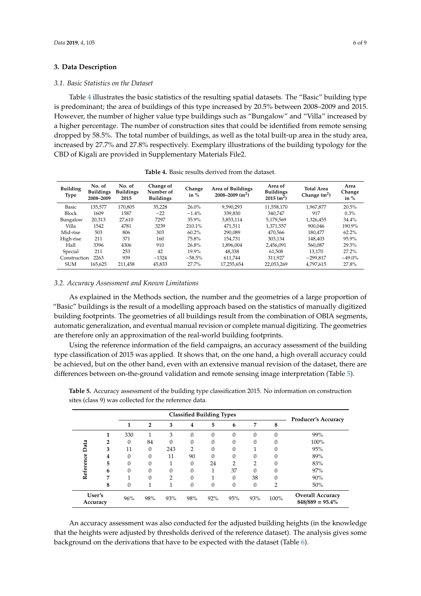#### **3. Data Description**

#### *3.1. Basic Statistics on the Dataset*

Table [4](#page-5-0) illustrates the basic statistics of the resulting spatial datasets. The "Basic" building type is predominant; the area of buildings of this type increased by 20.5% between 2008–2009 and 2015. However, the number of higher value type buildings such as "Bungalow" and "Villa" increased by a higher percentage. The number of construction sites that could be identified from remote sensing dropped by 58.5%. The total number of buildings, as well as the total built-up area in the study area, increased by 27.7% and 27.8% respectively. Exemplary illustrations of the building typology for the CBD of Kigali are provided in Supplementary Materials File2.

<span id="page-5-0"></span>

| <b>Building</b><br>Type | No. of<br><b>Buildings</b><br>2008-2009 | No. of<br><b>Buildings</b><br>2015 | Change of<br>Number of<br><b>Buildings</b> | Change<br>in $%$ | Area of Buildings<br>$2008 - 2009$ (m <sup>2</sup> ) | Area of<br><b>Buildings</b><br>$2015$ (m <sup>2</sup> ) | <b>Total Area</b><br>Change $(m^2)$ | Area<br>Change<br>in $%$ |
|-------------------------|-----------------------------------------|------------------------------------|--------------------------------------------|------------------|------------------------------------------------------|---------------------------------------------------------|-------------------------------------|--------------------------|
| Basic                   | 135,577                                 | 170.805                            | 35.228                                     | $26.0\%$         | 9.590.293                                            | 11.558.170                                              | 1.967.877                           | 20.5%                    |
| <b>Block</b>            | 1609                                    | 1587                               | $-22$                                      | $-1.4%$          | 339.830                                              | 340.747                                                 | 917                                 | 0.3%                     |
| Bungalow                | 20.313                                  | 27,610                             | 7297                                       | 35.9%            | 3,853,114                                            | 5.179.569                                               | 1.326.455                           | 34.4%                    |
| Villa                   | 1542                                    | 4781                               | 3239                                       | 210.1%           | 471.511                                              | 1,371,557                                               | 900.046                             | 190.9%                   |
| Mid-rise                | 503                                     | 806                                | 303                                        | $60.2\%$         | 290.089                                              | 470.566                                                 | 180.477                             | 62.2%                    |
| High-rise               | 211                                     | 371                                | 160                                        | 75.8%            | 154.731                                              | 303.134                                                 | 148.403                             | 95.9%                    |
| Hall                    | 3396                                    | 4306                               | 910                                        | 26.8%            | 1,896,004                                            | 2,456,091                                               | 560.087                             | 29.5%                    |
| Special                 | 211                                     | 253                                | 42                                         | 19.9%            | 48.338                                               | 61.508                                                  | 13.170                              | 27.2%                    |
| Construction            | 2263                                    | 939                                | $-1324$                                    | $-58.5%$         | 611.744                                              | 311.927                                                 | $-299.817$                          | $-49.0%$                 |
| <b>SUM</b>              | 165.625                                 | 211.458                            | 45,833                                     | 27.7%            | 17,255,654                                           | 22.053.269                                              | 4.797.615                           | 27.8%                    |

**Table 4.** Basic results derived from the dataset.

#### *3.2. Accuracy Assessment and Known Limitations*

As explained in the Methods section, the number and the geometries of a large proportion of "Basic" buildings is the result of a modelling approach based on the statistics of manually digitized building footprints. The geometries of all buildings result from the combination of OBIA segments, automatic generalization, and eventual manual revision or complete manual digitizing. The geometries are therefore only an approximation of the real-world building footprints.

Using the reference information of the field campaigns, an accuracy assessment of the building type classification of 2015 was applied. It shows that, on the one hand, a high overall accuracy could be achieved, but on the other hand, even with an extensive manual revision of the dataset, there are differences between on-the-ground validation and remote sensing image interpretation (Table [5\)](#page-5-1).

|                    | <b>Classified Building Types</b> |          |                |     |                |     |          |          | <b>Producer's Accuracy</b> |                                               |
|--------------------|----------------------------------|----------|----------------|-----|----------------|-----|----------|----------|----------------------------|-----------------------------------------------|
|                    |                                  | 1        | $\overline{2}$ | 3   | 4              | 5   | 6        | 7        | 8                          |                                               |
|                    |                                  | 330      |                | 3   | 0              | 0   | $\Omega$ | $\Omega$ | 0                          | 99%                                           |
|                    | 2                                | $\Omega$ | 84             | 0   | 0              | 0   | $\Omega$ | 0        |                            | 100%                                          |
| Data               | 3                                | 11       | $\Omega$       | 243 | $\overline{2}$ | 0   | $\Omega$ |          |                            | 95%                                           |
|                    | 4                                | $\Omega$ | $\Omega$       | 11  | 90             | 0   | $\Omega$ | ∩        |                            | 89%                                           |
|                    | 5                                | $\Omega$ | $\Omega$       |     | 0              | 24  | ∍        | 2        | 0                          | 83%                                           |
| Reference          | 6                                | 0        |                |     | 0              |     | 37       | 0        |                            | 97%                                           |
|                    | 7                                |          | $\Omega$       | ∍   | 0              |     | $\Omega$ | 38       |                            | 90%                                           |
|                    | 8                                | $\Omega$ | 1              |     | $\Omega$       | 0   | $\Omega$ | $\Omega$ | $\overline{2}$             | 50%                                           |
| User's<br>Accuracy |                                  | 96%      | 98%            | 93% | 98%            | 92% | 95%      | 93%      | 100%                       | <b>Overall Accuracy</b><br>$848/889 = 95.4\%$ |

<span id="page-5-1"></span>**Table 5.** Accuracy assessment of the building type classification 2015. No information on construction sites (class 9) was collected for the reference data.

An accuracy assessment was also conducted for the adjusted building heights (in the knowledge that the heights were adjusted by thresholds derived of the reference dataset). The analysis gives some background on the derivations that have to be expected with the dataset (Table [6\)](#page-6-0).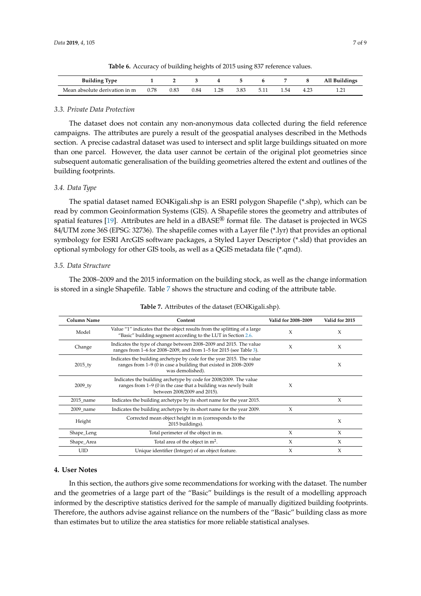<span id="page-6-0"></span>

| <b>Building Type</b>          |      |      |      |      |      |      | All Buildings |
|-------------------------------|------|------|------|------|------|------|---------------|
| Mean absolute derivation in m | 0.78 | 0.83 | 0.84 | 1.28 | 3.83 | 1.54 |               |

**Table 6.** Accuracy of building heights of 2015 using 837 reference values.

#### *3.3. Private Data Protection*

The dataset does not contain any non-anonymous data collected during the field reference campaigns. The attributes are purely a result of the geospatial analyses described in the Methods section. A precise cadastral dataset was used to intersect and split large buildings situated on more than one parcel. However, the data user cannot be certain of the original plot geometries since subsequent automatic generalisation of the building geometries altered the extent and outlines of the building footprints.

#### <span id="page-6-2"></span>*3.4. Data Type*

The spatial dataset named EO4Kigali.shp is an ESRI polygon Shapefile (\*.shp), which can be read by common Geoinformation Systems (GIS). A Shapefile stores the geometry and attributes of spatial features [\[19\]](#page-8-18). Attributes are held in a dBASE® format file. The dataset is projected in WGS 84/UTM zone 36S (EPSG: 32736). The shapefile comes with a Layer file (\*.lyr) that provides an optional symbology for ESRI ArcGIS software packages, a Styled Layer Descriptor (\*.sld) that provides an optional symbology for other GIS tools, as well as a QGIS metadata file (\*.qmd).

#### *3.5. Data Structure*

The 2008–2009 and the 2015 information on the building stock, as well as the change information is stored in a single Shapefile. Table [7](#page-6-1) shows the structure and coding of the attribute table.

<span id="page-6-1"></span>

| <b>Column Name</b> | Content                                                                                                                                                             | Valid for 2008–2009 | Valid for 2015 |
|--------------------|---------------------------------------------------------------------------------------------------------------------------------------------------------------------|---------------------|----------------|
| Model              | Value "1" indicates that the object results from the splitting of a large<br>"Basic" building segment according to the LUT in Section 2.6.                          | X                   | X              |
| Change             | Indicates the type of change between 2008–2009 and 2015. The value<br>ranges from 1-6 for 2008-2009, and from 1-5 for 2015 (see Table 3).                           | X                   | X              |
| $2015$ _ty         | Indicates the building archetype by code for the year 2015. The value<br>ranges from 1-9 (0 in case a building that existed in 2008-2009<br>was demolished).        |                     | X              |
| $2009$ _ty         | Indicates the building archetype by code for 2008/2009. The value<br>ranges from 1–9 (0 in the case that a building was newly built<br>between 2008/2009 and 2015). | X                   |                |
| 2015_name          | Indicates the building archetype by its short name for the year 2015.                                                                                               |                     | X              |
| $2009$ name        | Indicates the building archetype by its short name for the year 2009.                                                                                               | X                   |                |
| Height             | Corrected mean object height in m (corresponds to the<br>2015 buildings).                                                                                           |                     | X              |
| Shape_Leng         | Total perimeter of the object in m.                                                                                                                                 | X                   | X              |
| Shape_Area         | Total area of the object in $m^2$ .                                                                                                                                 | X                   | X              |
| UID                | Unique identifier (Integer) of an object feature.                                                                                                                   | X                   | X              |

| Table 7. Attributes of the dataset (EO4Kigali.shp). |  |
|-----------------------------------------------------|--|
|-----------------------------------------------------|--|

#### **4. User Notes**

In this section, the authors give some recommendations for working with the dataset. The number and the geometries of a large part of the "Basic" buildings is the result of a modelling approach informed by the descriptive statistics derived for the sample of manually digitized building footprints. Therefore, the authors advise against reliance on the numbers of the "Basic" building class as more than estimates but to utilize the area statistics for more reliable statistical analyses.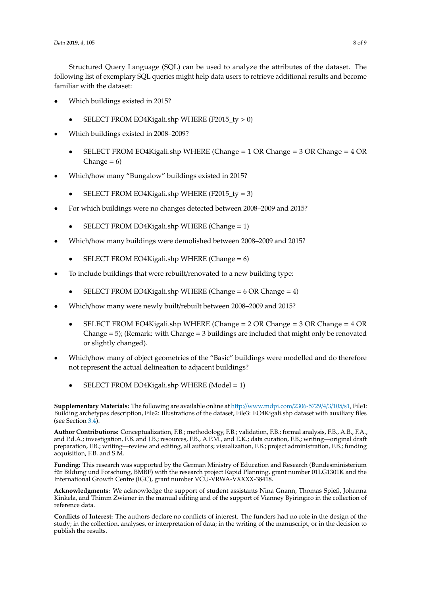Structured Query Language (SQL) can be used to analyze the attributes of the dataset. The following list of exemplary SQL queries might help data users to retrieve additional results and become familiar with the dataset:

- Which buildings existed in 2015?
	- SELECT FROM EO4Kigali.shp WHERE (F2015\_ty  $> 0$ )
- Which buildings existed in 2008–2009?
	- SELECT FROM EO4Kigali.shp WHERE (Change = 1 OR Change = 3 OR Change = 4 OR Change  $= 6$ )
- Which/how many "Bungalow" buildings existed in 2015?
	- SELECT FROM EO4Kigali.shp WHERE (F2015\_ty = 3)
- For which buildings were no changes detected between 2008–2009 and 2015?
	- SELECT FROM EO4Kigali.shp WHERE (Change = 1)
- Which/how many buildings were demolished between 2008–2009 and 2015?
	- SELECT FROM EO4Kigali.shp WHERE (Change = 6)
- To include buildings that were rebuilt/renovated to a new building type:
	- SELECT FROM EO4Kigali.shp WHERE (Change  $= 6$  OR Change  $= 4$ )
- Which/how many were newly built/rebuilt between 2008–2009 and 2015?
	- SELECT FROM EO4Kigali.shp WHERE (Change  $= 2$  OR Change  $= 3$  OR Change  $= 4$  OR Change  $= 5$ ); (Remark: with Change  $= 3$  buildings are included that might only be renovated or slightly changed).
- Which/how many of object geometries of the "Basic" buildings were modelled and do therefore not represent the actual delineation to adjacent buildings?
	- SELECT FROM EO4Kigali.shp WHERE (Model = 1)

**Supplementary Materials:** The following are available online at http://[www.mdpi.com](http://www.mdpi.com/2306-5729/4/3/105/s1)/2306-5729/4/3/105/s1, File1: Building archetypes description, File2: Illustrations of the dataset, File3: EO4Kigali.shp dataset with auxiliary files (see Section [3.4\)](#page-6-2).

**Author Contributions:** Conceptualization, F.B.; methodology, F.B.; validation, F.B.; formal analysis, F.B., A.B., F.A., and P.d.A.; investigation, F.B. and J.B.; resources, F.B., A.P.M., and E.K.; data curation, F.B.; writing—original draft preparation, F.B.; writing—review and editing, all authors; visualization, F.B.; project administration, F.B.; funding acquisition, F.B. and S.M.

**Funding:** This research was supported by the German Ministry of Education and Research (Bundesministerium für Bildung und Forschung, BMBF) with the research project Rapid Planning, grant number 01LG1301K and the International Growth Centre (IGC), grant number VCU-VRWA-VXXXX-38418.

**Acknowledgments:** We acknowledge the support of student assistants Nina Gnann, Thomas Spieß, Johanna Kinkela, and Thimm Zwiener in the manual editing and of the support of Vianney Byiringiro in the collection of reference data.

**Conflicts of Interest:** The authors declare no conflicts of interest. The funders had no role in the design of the study; in the collection, analyses, or interpretation of data; in the writing of the manuscript; or in the decision to publish the results.